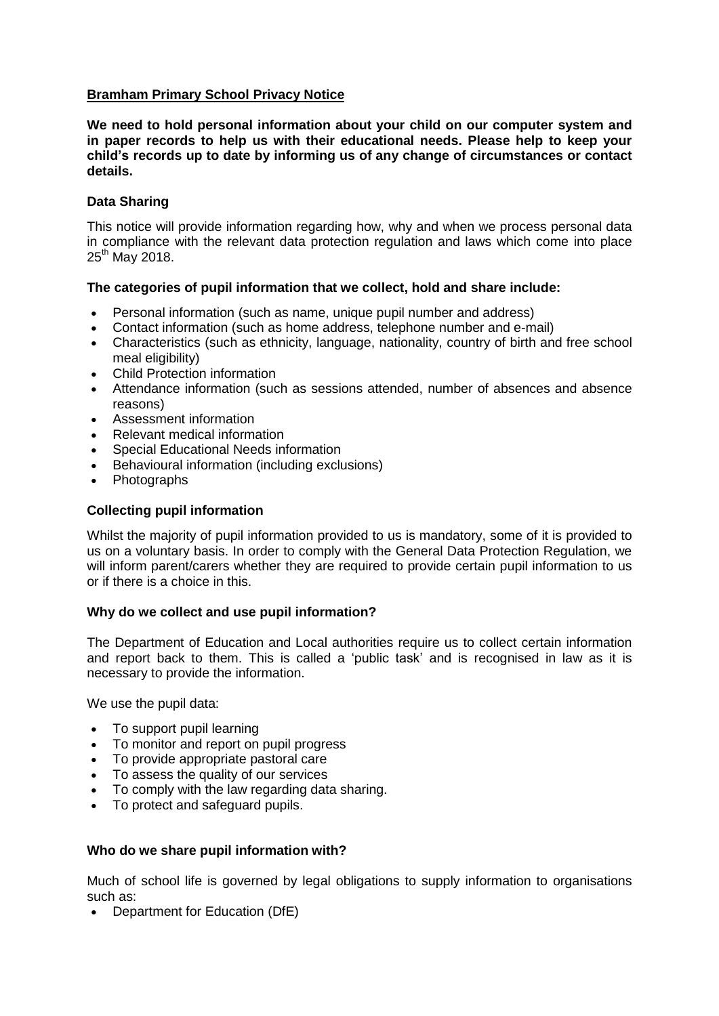# **Bramham Primary School Privacy Notice**

**We need to hold personal information about your child on our computer system and in paper records to help us with their educational needs. Please help to keep your child's records up to date by informing us of any change of circumstances or contact details.**

## **Data Sharing**

This notice will provide information regarding how, why and when we process personal data in compliance with the relevant data protection regulation and laws which come into place 25<sup>th</sup> May 2018.

### **The categories of pupil information that we collect, hold and share include:**

- Personal information (such as name, unique pupil number and address)
- Contact information (such as home address, telephone number and e-mail)
- Characteristics (such as ethnicity, language, nationality, country of birth and free school meal eligibility)
- Child Protection information
- Attendance information (such as sessions attended, number of absences and absence reasons)
- Assessment information
- Relevant medical information
- Special Educational Needs information
- Behavioural information (including exclusions)
- Photographs

## **Collecting pupil information**

Whilst the majority of pupil information provided to us is mandatory, some of it is provided to us on a voluntary basis. In order to comply with the General Data Protection Regulation, we will inform parent/carers whether they are required to provide certain pupil information to us or if there is a choice in this.

### **Why do we collect and use pupil information?**

The Department of Education and Local authorities require us to collect certain information and report back to them. This is called a 'public task' and is recognised in law as it is necessary to provide the information.

We use the pupil data:

- To support pupil learning
- To monitor and report on pupil progress
- To provide appropriate pastoral care
- To assess the quality of our services
- To comply with the law regarding data sharing.
- To protect and safeguard pupils.

### **Who do we share pupil information with?**

Much of school life is governed by legal obligations to supply information to organisations such as:

• Department for Education (DfE)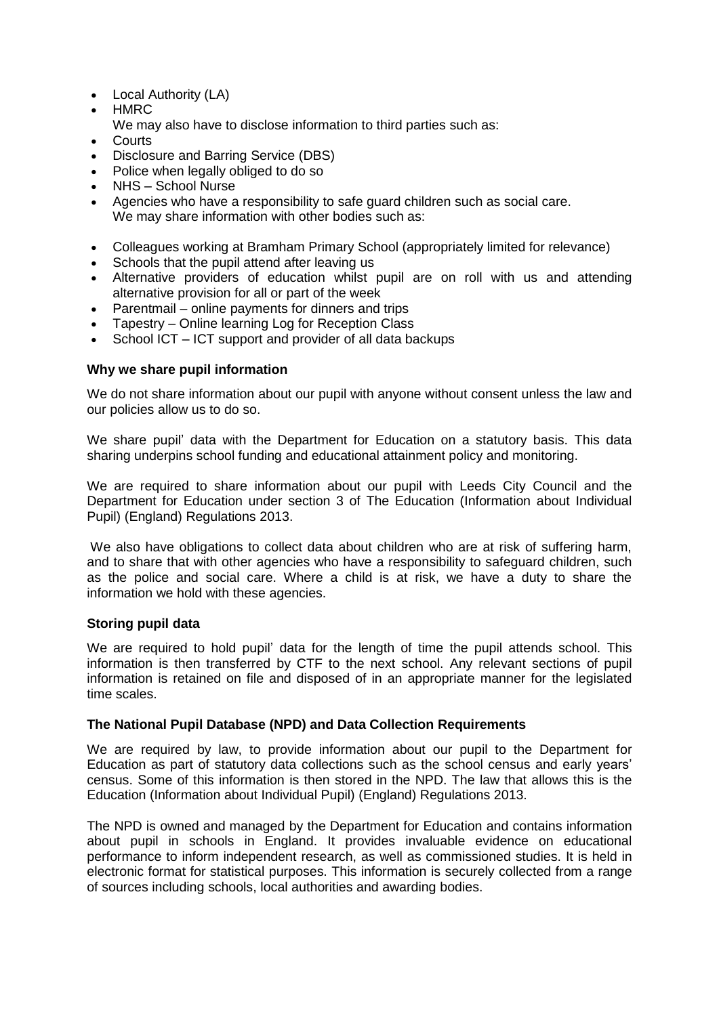- Local Authority (LA)
- **HMRC**
- We may also have to disclose information to third parties such as:
- Courts
- Disclosure and Barring Service (DBS)
- Police when legally obliged to do so
- NHS School Nurse
- Agencies who have a responsibility to safe guard children such as social care. We may share information with other bodies such as:
- Colleagues working at Bramham Primary School (appropriately limited for relevance)
- Schools that the pupil attend after leaving us
- Alternative providers of education whilst pupil are on roll with us and attending alternative provision for all or part of the week
- Parentmail online payments for dinners and trips
- Tapestry Online learning Log for Reception Class
- School ICT ICT support and provider of all data backups

# **Why we share pupil information**

We do not share information about our pupil with anyone without consent unless the law and our policies allow us to do so.

We share pupil' data with the Department for Education on a statutory basis. This data sharing underpins school funding and educational attainment policy and monitoring.

We are required to share information about our pupil with Leeds City Council and the Department for Education under section 3 of The Education (Information about Individual Pupil) (England) Regulations 2013.

We also have obligations to collect data about children who are at risk of suffering harm, and to share that with other agencies who have a responsibility to safeguard children, such as the police and social care. Where a child is at risk, we have a duty to share the information we hold with these agencies.

# **Storing pupil data**

We are required to hold pupil' data for the length of time the pupil attends school. This information is then transferred by CTF to the next school. Any relevant sections of pupil information is retained on file and disposed of in an appropriate manner for the legislated time scales.

### **The National Pupil Database (NPD) and Data Collection Requirements**

We are required by law, to provide information about our pupil to the Department for Education as part of statutory data collections such as the school census and early years' census. Some of this information is then stored in the NPD. The law that allows this is the Education (Information about Individual Pupil) (England) Regulations 2013.

The NPD is owned and managed by the Department for Education and contains information about pupil in schools in England. It provides invaluable evidence on educational performance to inform independent research, as well as commissioned studies. It is held in electronic format for statistical purposes. This information is securely collected from a range of sources including schools, local authorities and awarding bodies.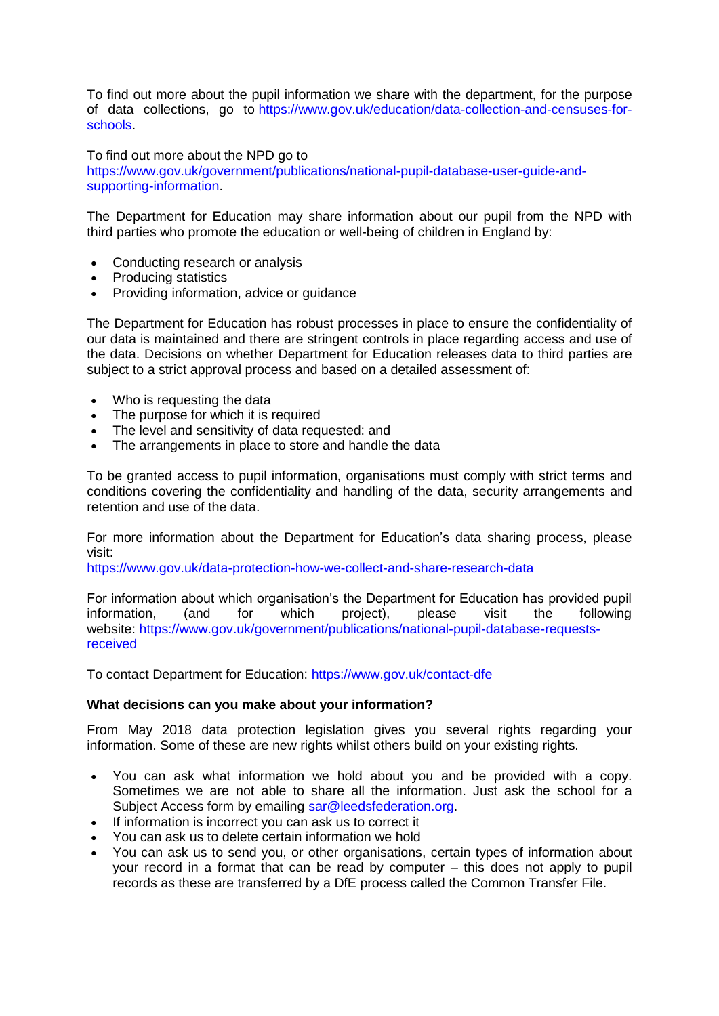To find out more about the pupil information we share with the department, for the purpose of data collections, go to [https://www.gov.uk/education/data-collection-and-censuses-for](https://www.gov.uk/education/data-collection-and-censuses-for-schools)[schools.](https://www.gov.uk/education/data-collection-and-censuses-for-schools)

To find out more about the NPD go to [https://www.gov.uk/government/publications/national-pupil-database-user-guide-and](https://www.gov.uk/government/publications/national-pupil-database-user-guide-and-supporting-information)[supporting-information.](https://www.gov.uk/government/publications/national-pupil-database-user-guide-and-supporting-information)

The Department for Education may share information about our pupil from the NPD with third parties who promote the education or well-being of children in England by:

- Conducting research or analysis
- Producing statistics
- Providing information, advice or guidance

The Department for Education has robust processes in place to ensure the confidentiality of our data is maintained and there are stringent controls in place regarding access and use of the data. Decisions on whether Department for Education releases data to third parties are subject to a strict approval process and based on a detailed assessment of:

- Who is requesting the data
- The purpose for which it is required
- The level and sensitivity of data requested: and
- The arrangements in place to store and handle the data

To be granted access to pupil information, organisations must comply with strict terms and conditions covering the confidentiality and handling of the data, security arrangements and retention and use of the data.

For more information about the Department for Education's data sharing process, please visit:

<https://www.gov.uk/data-protection-how-we-collect-and-share-research-data>

For information about which organisation's the Department for Education has provided pupil information, (and for which project), please visit the following website: [https://www.gov.uk/government/publications/national-pupil-database-requests](https://www.gov.uk/government/publications/national-pupil-database-requests-received)[received](https://www.gov.uk/government/publications/national-pupil-database-requests-received)

To contact Department for Education: <https://www.gov.uk/contact-dfe>

### **What decisions can you make about your information?**

From May 2018 data protection legislation gives you several rights regarding your information. Some of these are new rights whilst others build on your existing rights.

- You can ask what information we hold about you and be provided with a copy. Sometimes we are not able to share all the information. Just ask the school for a Subject Access form by emailing [sar@leedsfederation.org.](mailto:sar@leedsfederation.org)
- If information is incorrect you can ask us to correct it
- You can ask us to delete certain information we hold
- You can ask us to send you, or other organisations, certain types of information about your record in a format that can be read by computer – this does not apply to pupil records as these are transferred by a DfE process called the Common Transfer File.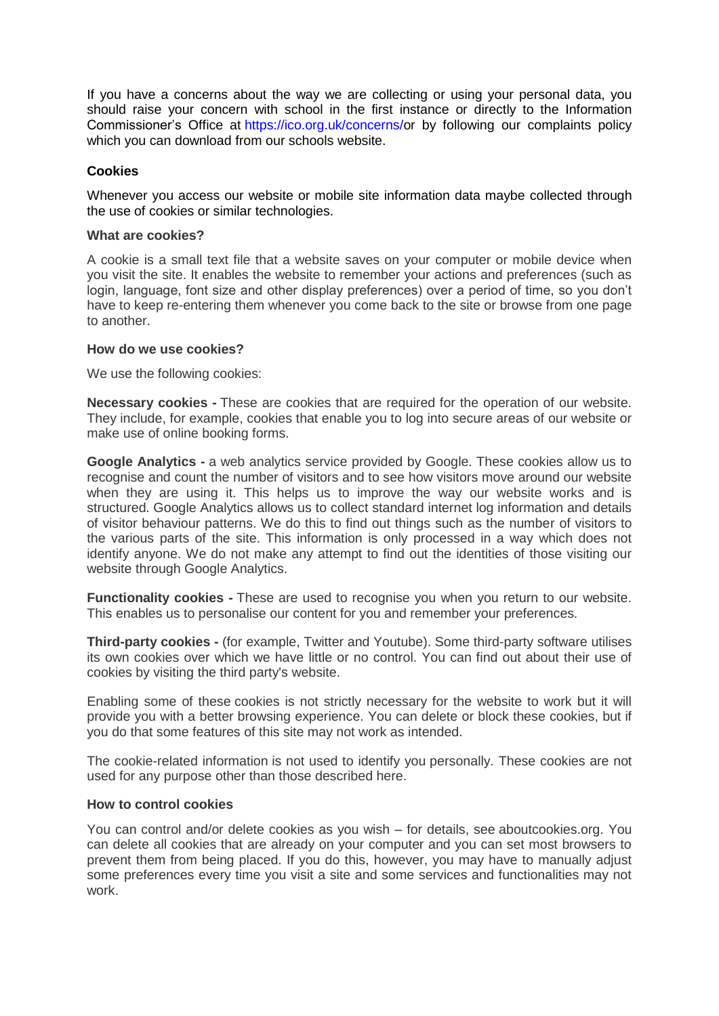If you have a concerns about the way we are collecting or using your personal data, you should raise your concern with school in the first instance or directly to the Information Commissioner's Office at [https://ico.org.uk/concerns/o](https://ico.org.uk/concerns/)r by following our complaints policy which you can download from our schools website.

## **Cookies**

Whenever you access our website or mobile site information data maybe collected through the use of cookies or similar technologies.

#### **What are cookies?**

A cookie is a small text file that a website saves on your computer or mobile device when you visit the site. It enables the website to remember your actions and preferences (such as login, language, font size and other display preferences) over a period of time, so you don't have to keep re-entering them whenever you come back to the site or browse from one page to another.

#### **How do we use cookies?**

We use the following cookies:

**Necessary cookies -** These are cookies that are required for the operation of our website. They include, for example, cookies that enable you to log into secure areas of our website or make use of online booking forms.

**Google Analytics -** a web analytics service provided by Google. These cookies allow us to recognise and count the number of visitors and to see how visitors move around our website when they are using it. This helps us to improve the way our website works and is structured. Google Analytics allows us to collect standard internet log information and details of visitor behaviour patterns. We do this to find out things such as the number of visitors to the various parts of the site. This information is only processed in a way which does not identify anyone. We do not make any attempt to find out the identities of those visiting our website through Google Analytics.

**Functionality cookies -** These are used to recognise you when you return to our website. This enables us to personalise our content for you and remember your preferences.

**Third-party cookies -** (for example, Twitter and Youtube). Some third-party software utilises its own cookies over which we have little or no control. You can find out about their use of cookies by visiting the third party's website.

Enabling some of these cookies is not strictly necessary for the website to work but it will provide you with a better browsing experience. You can delete or block these cookies, but if you do that some features of this site may not work as intended.

The cookie-related information is not used to identify you personally. These cookies are not used for any purpose other than those described here.

### **How to control cookies**

You can control and/or delete cookies as you wish – for details, see aboutcookies.org. You can delete all cookies that are already on your computer and you can set most browsers to prevent them from being placed. If you do this, however, you may have to manually adjust some preferences every time you visit a site and some services and functionalities may not work.